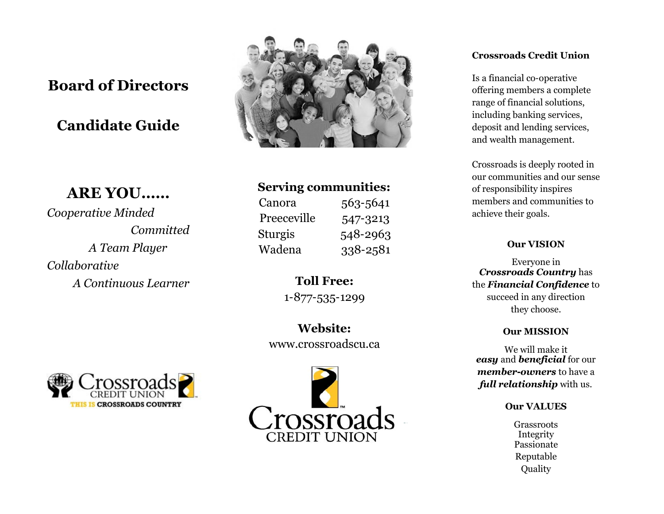# **Board of Directors**

# **Candidate Guide**

# **ARE YOU……**

*Cooperative Minded Committed A Team Player Collaborative A Continuous Learner*



# **Serving communities:**

| Canora         | 563-5641 |
|----------------|----------|
| Preeceville    | 547-3213 |
| <b>Sturgis</b> | 548-2963 |
| Wadena         | 338-2581 |

**Toll Free:** 1-877-535-1299

**Website:** www.crossroadscu.ca





## **Crossroads Credit Union**

Is a financial co-operative offering members a complete range of financial solutions, including banking services, deposit and lending services, and wealth management.

Crossroads is deeply rooted in our communities and our sense of responsibility inspires members and communities to achieve their goals.

# **Our VISION**

Everyone in *Crossroads Country* has the *Financial Confidence* to succeed in any direction they choose.

### **Our MISSION**

We will make it *easy* and *beneficial* for our *member-owners* to have a *full relationship* with us.

#### **Our VALUES**

Grassroots Integrity Passionate Reputable Quality